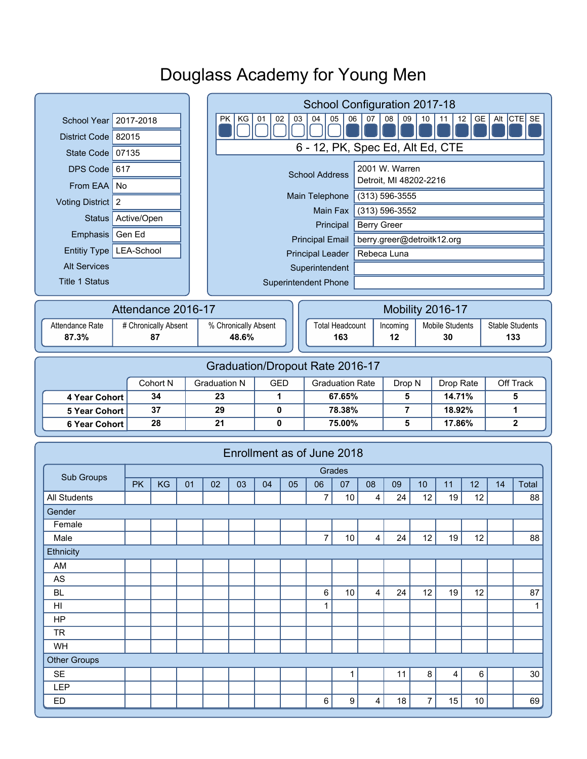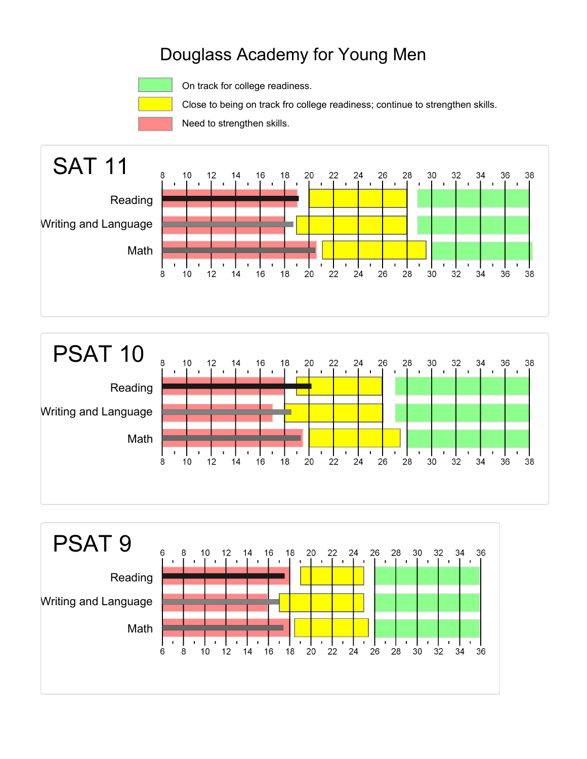

On track for college readiness.

Close to being on track fro college readiness; continue to strengthen skills.

Need to strengthen skills.





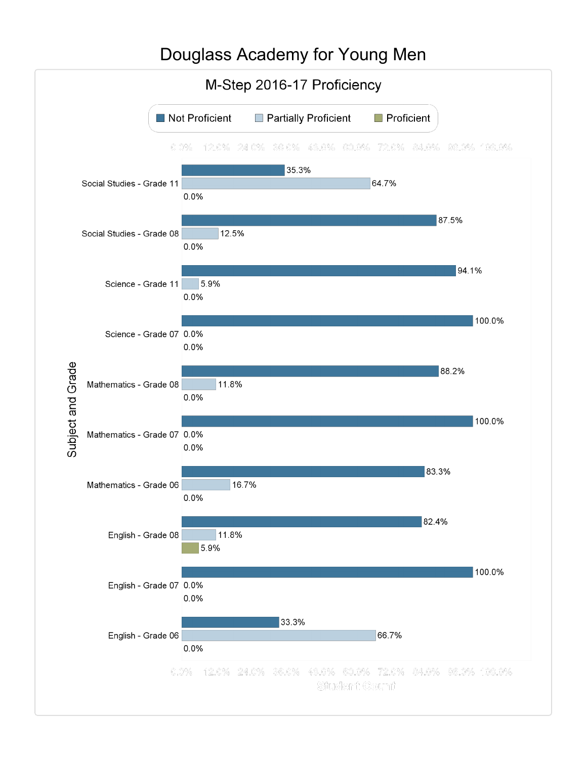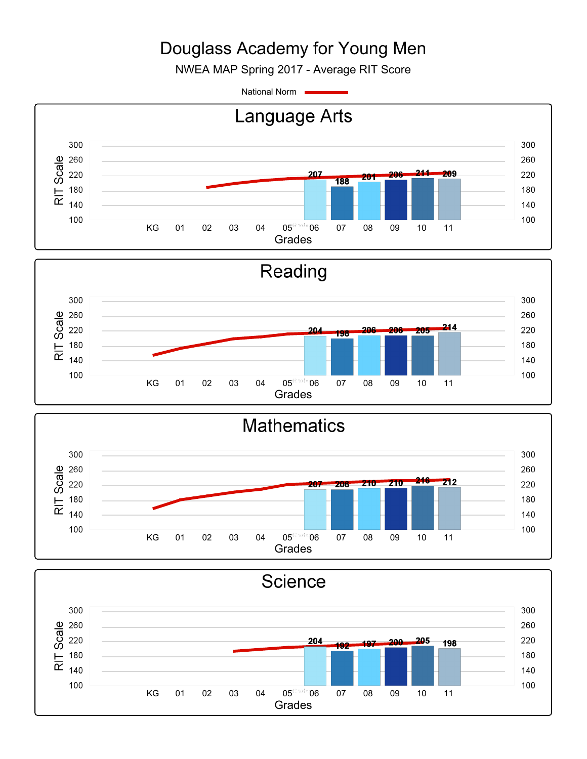NWEA MAP Spring 2017 - Average RIT Score

National Norm



Grades